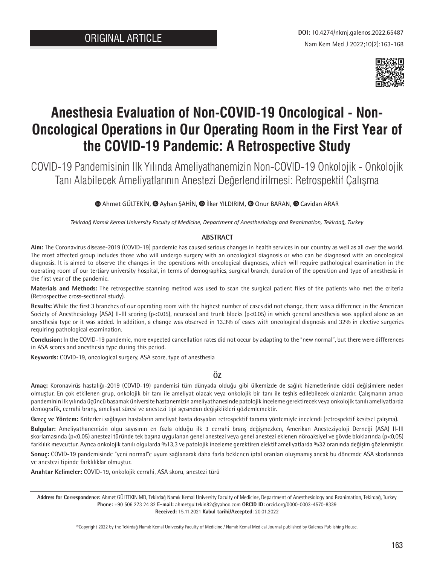

# **Anesthesia Evaluation of Non-COVID-19 Oncological - Non-Oncological Operations in Our Operating Room in the First Year of the COVID-19 Pandemic: A Retrospective Study**

COVID-19 Pandemisinin İlk Yılında Ameliyathanemizin Non-COVID-19 Onkolojik - Onkolojik Tanı Alabilecek Ameliyatlarının Anestezi Değerlendirilmesi: Retrospektif Çalışma

**M**Ahmet GÜLTEKİN, **M** Ayhan ŞAHİN, **M** İlker YILDIRIM, **M** Onur BARAN, **M** Cavidan ARAR

*Tekirdağ Namık Kemal University Faculty of Medicine, Department of Anesthesiology and Reanimation, Tekirdağ, Turkey*

#### **ABSTRACT**

**Aim:** The Coronavirus disease-2019 (COVID-19) pandemic has caused serious changes in health services in our country as well as all over the world. The most affected group includes those who will undergo surgery with an oncological diagnosis or who can be diagnosed with an oncological diagnosis. It is aimed to observe the changes in the operations with oncological diagnoses, which will require pathological examination in the operating room of our tertiary university hospital, in terms of demographics, surgical branch, duration of the operation and type of anesthesia in the first year of the pandemic.

**Materials and Methods:** The retrospective scanning method was used to scan the surgical patient files of the patients who met the criteria (Retrospective cross-sectional study).

**Results:** While the first 3 branches of our operating room with the highest number of cases did not change, there was a difference in the American Society of Anesthesiology (ASA) II-III scoring (p<0.05), neuraxial and trunk blocks (p<0.05) in which general anesthesia was applied alone as an anesthesia type or it was added. In addition, a change was observed in 13.3% of cases with oncological diagnosis and 32% in elective surgeries requiring pathological examination.

**Conclusion:** In the COVID-19 pandemic, more expected cancellation rates did not occur by adapting to the "new normal", but there were differences in ASA scores and anesthesia type during this period.

**Keywords:** COVID-19, oncological surgery, ASA score, type of anesthesia

#### **ÖZ**

**Amaç:** Koronavirüs hastalığı-2019 (COVID-19) pandemisi tüm dünyada olduğu gibi ülkemizde de sağlık hizmetlerinde ciddi değişimlere neden olmuştur. En çok etkilenen grup, onkolojik bir tanı ile ameliyat olacak veya onkolojik bir tanı ile teşhis edilebilecek olanlardır. Çalışmanın amacı pandeminin ilk yılında üçüncü basamak üniversite hastanemizin ameliyathanesinde patolojik inceleme gerektirecek veya onkolojik tanılı ameliyatlarda demografik, cerrahi branş, ameliyat süresi ve anestezi tipi açısından değişiklikleri gözlemlemektir.

**Gereç ve Yöntem:** Kriterleri sağlayan hastaların ameliyat hasta dosyaları retrospektif tarama yöntemiyle incelendi (retrospektif kesitsel çalışma).

**Bulgular:** Ameliyathanemizin olgu sayısının en fazla olduğu ilk 3 cerrahi branş değişmezken, Amerikan Anesteziyoloji Derneği (ASA) II-III skorlamasında (p<0,05) anestezi türünde tek başına uygulanan genel anestezi veya genel anestezi eklenen nöroaksiyel ve gövde bloklarında (p<0,05) farklılık mevcuttur. Ayrıca onkolojik tanılı olgularda %13,3 ve patolojik inceleme gerektiren elektif ameliyatlarda %32 oranında değişim gözlenmiştir.

**Sonuç:** COVID-19 pandemisinde "yeni normal"e uyum sağlanarak daha fazla beklenen iptal oranları oluşmamış ancak bu dönemde ASA skorlarında ve anestezi tipinde farklılıklar olmuştur.

**Anahtar Kelimeler:** COVID-19, onkolojik cerrahi, ASA skoru, anestezi türü

**Address for Correspondence:** Ahmet GÜLTEKIN MD, Tekirdağ Namık Kemal University Faculty of Medicine, Department of Anesthesiology and Reanimation, Tekirdağ, Turkey **Phone:** +90 506 273 24 82 **E-mail:** ahmetgultekin82@yahoo.com **ORCID ID:** orcid.org/0000-0003-4570-8339 **Received:** 15.11.2021 **Kabul tarihi/Accepted**: 20.01.2022

©Copyright 2022 by the Tekirdağ Namık Kemal University Faculty of Medicine / Namık Kemal Medical Journal published by Galenos Publishing House.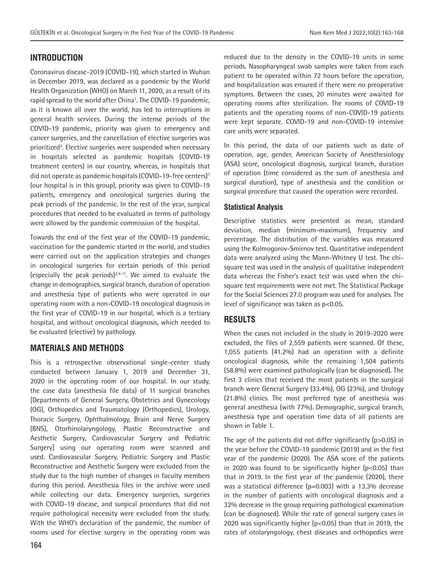# **INTRODUCTION**

Coronavirus disease-2019 (COVID-19), which started in Wuhan in December 2019, was declared as a pandemic by the World Health Organization (WHO) on March 11, 2020, as a result of its rapid spread to the world after China<sup>1</sup>. The COVID-19 pandemic, as it is known all over the world, has led to interruptions in general health services. During the intense periods of the COVID-19 pandemic, priority was given to emergency and cancer surgeries, and the cancellation of elective surgeries was prioritized<sup>2</sup>. Elective surgeries were suspended when necessary in hospitals selected as pandemic hospitals (COVID-19 treatment centers) in our country, whereas, in hospitals that did not operate as pandemic hospitals (COVID-19-free centers)<sup>3</sup> (our hospital is in this group), priority was given to COVID-19 patients, emergency and oncological surgeries during the peak periods of the pandemic. In the rest of the year, surgical procedures that needed to be evaluated in terms of pathology were allowed by the pandemic commission of the hospital.

Towards the end of the first year of the COVID-19 pandemic, vaccination for the pandemic started in the world, and studies were carried out on the application strategies and changes in oncological surgeries for certain periods of this period (especially the peak periods) $2,4-11$ . We aimed to evaluate the change in demographics, surgical branch, duration of operation and anesthesia type of patients who were operated in our operating room with a non-COVID-19 oncological diagnosis in the first year of COVID-19 in our hospital, which is a tertiary hospital, and without oncological diagnosis, which needed to be evaluated (elective) by pathology.

## **MATERIALS AND METHODS**

This is a retrospective observational single-center study conducted between January 1, 2019 and December 31, 2020 in the operating room of our hospital. In our study, the case data (anesthesia file data) of 11 surgical branches [Departments of General Surgery, Obstetrics and Gynecology (OG), Orthopedics and Traumatology (Orthopedics), Urology, Thoracic Surgery, Ophthalmology, Brain and Nerve Surgery (BNS), Otorhinolaryngology, Plastic Reconstructive and Aesthetic Surgery, Cardiovascular Surgery and Pediatric Surgery] using our operating room were scanned and used. Cardiovascular Surgery, Pediatric Surgery and Plastic Reconstructive and Aesthetic Surgery were excluded from the study due to the high number of changes in faculty members during this period. Anesthesia files in the archive were used while collecting our data. Emergency surgeries, surgeries with COVID-19 disease, and surgical procedures that did not require pathological necessity were excluded from the study. With the WHO's declaration of the pandemic, the number of rooms used for elective surgery in the operating room was reduced due to the density in the COVID-19 units in some periods. Nasopharyngeal swab samples were taken from each patient to be operated within 72 hours before the operation, and hospitalization was ensured if there were no preoperative symptoms. Between the cases, 20 minutes were awaited for operating rooms after sterilization. The rooms of COVID-19 patients and the operating rooms of non-COVID-19 patients were kept separate. COVID-19 and non-COVID-19 intensive care units were separated.

In this period, the data of our patients such as date of operation, age, gender, American Society of Anesthesiology (ASA) score, oncological diagnosis, surgical branch, duration of operation (time considered as the sum of anesthesia and surgical duration), type of anesthesia and the condition or surgical procedure that caused the operation were recorded.

## **Statistical Analysis**

Descriptive statistics were presented as mean, standard deviation, median (minimum-maximum), frequency and percentage. The distribution of the variables was measured using the Kolmogorov-Smirnov test. Quantitative independent data were analyzed using the Mann-Whitney U test. The chisquare test was used in the analysis of qualitative independent data whereas the Fisher's exact test was used when the chisquare test requirements were not met. The Statistical Package for the Social Sciences 27.0 program was used for analyses. The level of significance was taken as p<0.05.

## **RESULTS**

When the cases not included in the study in 2019-2020 were excluded, the files of 2,559 patients were scanned. Of these, 1,055 patients (41.2%) had an operation with a definite oncological diagnosis, while the remaining 1,504 patients (58.8%) were examined pathologically (can be diagnosed). The first 3 clinics that received the most patients in the surgical branch were General Surgery (33.4%), OG (23%), and Urology (21.8%) clinics. The most preferred type of anesthesia was general anesthesia (with 77%). Demographic, surgical branch, anesthesia type and operation time data of all patients are shown in Table 1.

The age of the patients did not differ significantly (p>0.05) in the year before the COVID-19 pandemic (2019) and in the first year of the pandemic (2020). The ASA score of the patients in 2020 was found to be significantly higher  $(p<0.05)$  than that in 2019. In the first year of the pandemic (2020), there was a statistical difference (p=0.003) with a 13.3% decrease in the number of patients with oncological diagnosis and a 32% decrease in the group requiring pathological examination (can be diagnosed). While the rate of general surgery cases in 2020 was significantly higher (p<0.05) than that in 2019, the rates of otolaryngology, chest diseases and orthopedics were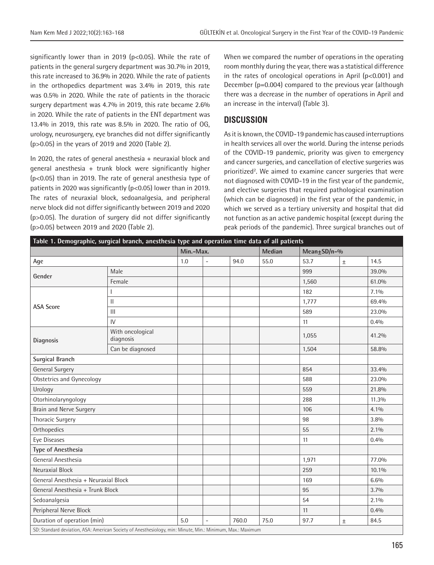significantly lower than in 2019 (p<0.05). While the rate of patients in the general surgery department was 30.7% in 2019, this rate increased to 36.9% in 2020. While the rate of patients in the orthopedics department was 3.4% in 2019, this rate was 0.5% in 2020. While the rate of patients in the thoracic surgery department was 4.7% in 2019, this rate became 2.6% in 2020. While the rate of patients in the ENT department was 13.4% in 2019, this rate was 8.5% in 2020. The ratio of OG, urology, neurosurgery, eye branches did not differ significantly (p>0.05) in the years of 2019 and 2020 (Table 2).

In 2020, the rates of general anesthesia + neuraxial block and general anesthesia + trunk block were significantly higher (p<0.05) than in 2019. The rate of general anesthesia type of patients in 2020 was significantly (p<0.05) lower than in 2019. The rates of neuraxial block, sedoanalgesia, and peripheral nerve block did not differ significantly between 2019 and 2020 (p>0.05). The duration of surgery did not differ significantly (p>0.05) between 2019 and 2020 (Table 2).

When we compared the number of operations in the operating room monthly during the year, there was a statistical difference in the rates of oncological operations in April (p<0.001) and December (p=0.004) compared to the previous year (although there was a decrease in the number of operations in April and an increase in the interval) (Table 3).

## **DISCUSSION**

As it is known, the COVID-19 pandemic has caused interruptions in health services all over the world. During the intense periods of the COVID-19 pandemic, priority was given to emergency and cancer surgeries, and cancellation of elective surgeries was prioritized<sup>2</sup>. We aimed to examine cancer surgeries that were not diagnosed with COVID-19 in the first year of the pandemic, and elective surgeries that required pathological examination (which can be diagnosed) in the first year of the pandemic, in which we served as a tertiary university and hospital that did not function as an active pandemic hospital (except during the peak periods of the pandemic). Three surgical branches out of

| Table 1. Demographic, surgical branch, anesthesia type and operation time data of all patients             |                               |                     |                |       |      |                   |       |         |  |
|------------------------------------------------------------------------------------------------------------|-------------------------------|---------------------|----------------|-------|------|-------------------|-------|---------|--|
|                                                                                                            |                               | Min.-Max.<br>Median |                |       |      | Mean $\pm$ SD/n-% |       |         |  |
| Age                                                                                                        |                               | 1.0                 | ÷.             | 94.0  | 55.0 | 53.7              | $\pm$ | 14.5    |  |
| Gender                                                                                                     | Male                          |                     |                |       |      | 999               |       | 39.0%   |  |
|                                                                                                            | Female                        |                     |                |       |      | 1,560             |       | 61.0%   |  |
| <b>ASA Score</b>                                                                                           |                               |                     |                |       |      | 182               |       | $7.1\%$ |  |
|                                                                                                            | $\mathsf{II}$                 |                     |                |       |      | 1,777             |       | 69.4%   |  |
|                                                                                                            | $\mathbf{III}$                |                     |                |       |      | 589               |       | 23.0%   |  |
|                                                                                                            | $\mathsf{IV}$                 |                     |                |       |      | 11                |       | 0.4%    |  |
| <b>Diagnosis</b>                                                                                           | With oncological<br>diagnosis |                     |                |       |      | 1,055             |       | 41.2%   |  |
|                                                                                                            | Can be diagnosed              |                     |                |       |      | 1,504             |       | 58.8%   |  |
| <b>Surgical Branch</b>                                                                                     |                               |                     |                |       |      |                   |       |         |  |
| <b>General Surgery</b>                                                                                     |                               |                     |                |       |      | 854               |       | 33.4%   |  |
| <b>Obstetrics and Gynecology</b>                                                                           |                               |                     |                |       |      | 588               |       | 23.0%   |  |
| Urology                                                                                                    |                               |                     |                |       |      | 559               |       | 21.8%   |  |
| Otorhinolaryngology                                                                                        |                               |                     |                |       |      | 288               |       | 11.3%   |  |
| Brain and Nerve Surgery                                                                                    |                               |                     |                |       |      | 106               |       | $4.1\%$ |  |
| <b>Thoracic Surgery</b>                                                                                    |                               |                     |                |       |      | 98                |       | 3.8%    |  |
| Orthopedics                                                                                                |                               |                     |                |       |      | 55                |       | $2.1\%$ |  |
| <b>Eye Diseases</b>                                                                                        |                               |                     |                |       |      | 11                |       | 0.4%    |  |
| Type of Anesthesia                                                                                         |                               |                     |                |       |      |                   |       |         |  |
| General Anesthesia                                                                                         |                               |                     |                |       |      | 1,971             |       | 77.0%   |  |
| Neuraxial Block                                                                                            |                               |                     |                |       |      | 259               |       | 10.1%   |  |
| General Anesthesia + Neuraxial Block                                                                       |                               |                     |                |       |      | 169               |       | 6.6%    |  |
| General Anesthesia + Trunk Block                                                                           |                               |                     |                |       |      | 95                |       | 3.7%    |  |
| Sedoanalgesia                                                                                              |                               |                     |                |       |      | 54                |       | $2.1\%$ |  |
| Peripheral Nerve Block                                                                                     |                               |                     |                |       |      | 11                |       | 0.4%    |  |
| Duration of operation (min)                                                                                |                               | 5.0                 | $\overline{a}$ | 760.0 | 75.0 | 97.7              | $\pm$ | 84.5    |  |
| SD: Standard deviation, ASA: American Society of Anesthesiology, min: Minute, Min.: Minimum, Max.: Maximum |                               |                     |                |       |      |                   |       |         |  |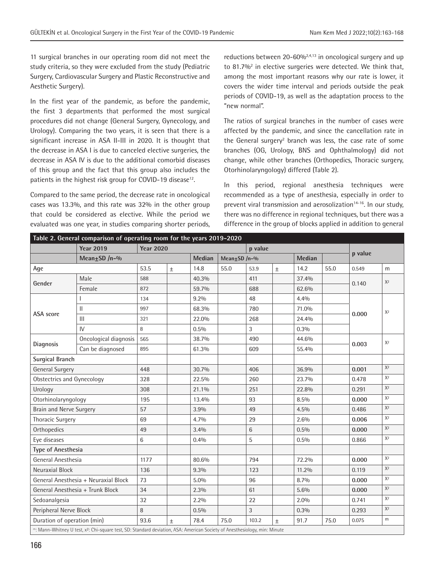11 surgical branches in our operating room did not meet the study criteria, so they were excluded from the study (Pediatric Surgery, Cardiovascular Surgery and Plastic Reconstructive and Aesthetic Surgery).

In the first year of the pandemic, as before the pandemic, the first 3 departments that performed the most surgical procedures did not change (General Surgery, Gynecology, and Urology). Comparing the two years, it is seen that there is a significant increase in ASA II-III in 2020. It is thought that the decrease in ASA I is due to canceled elective surgeries, the decrease in ASA IV is due to the additional comorbid diseases of this group and the fact that this group also includes the patients in the highest risk group for COVID-19 disease<sup>12</sup>.

Compared to the same period, the decrease rate in oncological cases was 13.3%, and this rate was 32% in the other group that could be considered as elective. While the period we evaluated was one year, in studies comparing shorter periods, reductions between 20-60% $^{2,4,13}$  in oncological surgery and up to 81.7%<sup>2</sup> in elective surgeries were detected. We think that, among the most important reasons why our rate is lower, it covers the wider time interval and periods outside the peak periods of COVID-19, as well as the adaptation process to the "new normal".

The ratios of surgical branches in the number of cases were affected by the pandemic, and since the cancellation rate in the General surgery<sup>2</sup> branch was less, the case rate of some branches (OG, Urology, BNS and Ophthalmology) did not change, while other branches (Orthopedics, Thoracic surgery, Otorhinolaryngology) differed (Table 2).

In this period, regional anesthesia techniques were recommended as a type of anesthesia, especially in order to prevent viral transmission and aerosolization<sup>14-16</sup>. In our study, there was no difference in regional techniques, but there was a difference in the group of blocks applied in addition to general

| Table 2. General comparison of operating room for the years 2019-2020 |                                                                                                                                        |                  |       |         |                    |         |        |         |      |         |                |
|-----------------------------------------------------------------------|----------------------------------------------------------------------------------------------------------------------------------------|------------------|-------|---------|--------------------|---------|--------|---------|------|---------|----------------|
|                                                                       | <b>Year 2019</b>                                                                                                                       | <b>Year 2020</b> |       |         |                    | p value |        |         |      |         |                |
|                                                                       | Mean $\pm$ SD /n-%                                                                                                                     |                  |       | Median  | Mean $\pm$ SD /n-% |         | Median |         |      | p value |                |
| Age                                                                   |                                                                                                                                        | 53.5             | $\pm$ | 14.8    | 55.0               | 53.9    | $\pm$  | 14.2    | 55.0 | 0.549   | m              |
|                                                                       | Male                                                                                                                                   | 588              |       | 40.3%   |                    | 411     |        | 37.4%   |      | 0.140   | $X^2$          |
| Gender                                                                | Female                                                                                                                                 | 872              |       | 59.7%   |                    | 688     |        | 62.6%   |      |         |                |
|                                                                       |                                                                                                                                        | 134              |       | 9.2%    |                    | 48      |        | 4.4%    |      | 0.000   | $X^2$          |
| <b>ASA</b> score                                                      | $\mathsf{II}$                                                                                                                          | 997              |       | 68.3%   |                    | 780     |        | 71.0%   |      |         |                |
|                                                                       | $\mathbf{III}$                                                                                                                         | 321              |       | 22.0%   |                    | 268     |        | 24.4%   |      |         |                |
|                                                                       | IV                                                                                                                                     | 8                |       | 0.5%    |                    | 3       |        | $0.3\%$ |      |         |                |
|                                                                       | Oncological diagnosis                                                                                                                  | 565              |       | 38.7%   |                    | 490     |        | 44.6%   |      | 0.003   | X <sup>2</sup> |
| Diagnosis                                                             | Can be diagnosed                                                                                                                       | 895              |       | 61.3%   |                    | 609     |        | 55.4%   |      |         |                |
| <b>Surgical Branch</b>                                                |                                                                                                                                        |                  |       |         |                    |         |        |         |      |         |                |
| <b>General Surgery</b>                                                |                                                                                                                                        | 448              |       | 30.7%   |                    | 406     |        | 36.9%   |      | 0.001   | $X^2$          |
| <b>Obstectrics and Gynecology</b>                                     |                                                                                                                                        | 328              |       | 22.5%   |                    | 260     |        | 23.7%   |      | 0.478   | $X^2$          |
| Urology                                                               |                                                                                                                                        | 308              |       | 21.1%   |                    | 251     |        | 22.8%   |      | 0.291   | $X^2$          |
| Otorhinolaryngology                                                   |                                                                                                                                        | 195              |       | 13.4%   |                    | 93      |        | 8.5%    |      | 0.000   | X <sup>2</sup> |
| Brain and Nerve Surgery                                               |                                                                                                                                        | 57               |       | 3.9%    |                    | 49      |        | 4.5%    |      | 0.486   | $X^2$          |
| <b>Thoracic Surgery</b>                                               |                                                                                                                                        | 69               |       | 4.7%    |                    | 29      |        | 2.6%    |      | 0.006   | $X^2$          |
| Orthopedics                                                           |                                                                                                                                        | 49               |       | 3.4%    |                    | 6       |        | 0.5%    |      | 0.000   | X <sup>2</sup> |
| Eye diseases                                                          |                                                                                                                                        | 6                |       | 0.4%    |                    | 5       |        | 0.5%    |      | 0.866   | $X^2$          |
| Type of Anesthesia                                                    |                                                                                                                                        |                  |       |         |                    |         |        |         |      |         |                |
| General Anesthesia                                                    |                                                                                                                                        | 1177             |       | 80.6%   |                    | 794     |        | 72.2%   |      | 0.000   | $X^2$          |
| Neuraxial Block                                                       |                                                                                                                                        | 136              |       | 9.3%    |                    | 123     |        | 11.2%   |      | 0.119   | X <sup>2</sup> |
|                                                                       | General Anesthesia + Neuraxial Block                                                                                                   | 73               |       | $5.0\%$ |                    | 96      |        | 8.7%    |      | 0.000   | $X^2$          |
|                                                                       | General Anesthesia + Trunk Block                                                                                                       | 34               |       | 2.3%    |                    | 61      |        | 5.6%    |      | 0.000   | X <sup>2</sup> |
| Sedoanalgesia                                                         |                                                                                                                                        | 32               |       | 2.2%    |                    | 22      |        | 2.0%    |      | 0.741   | $X^2$          |
| Peripheral Nerve Block                                                |                                                                                                                                        | 8                |       | $0.5\%$ |                    | 3       |        | 0.3%    |      | 0.293   | $X^2$          |
| Duration of operation (min)                                           |                                                                                                                                        | 93.6             | Ŧ     | 78.4    | 75.0               | 103.2   | $\pm$  | 91.7    | 75.0 | 0.075   | m              |
|                                                                       | ": Mann-Whitney U test, x <sup>2</sup> : Chi-square test, SD: Standard deviation, ASA: American Society of Anesthesiology, min: Minute |                  |       |         |                    |         |        |         |      |         |                |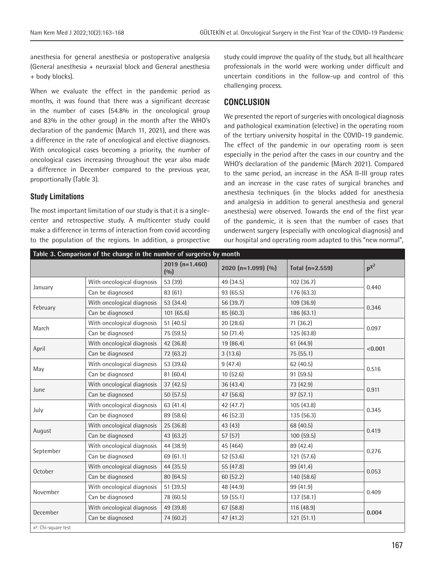anesthesia for general anesthesia or postoperative analgesia (General anesthesia + neuraxial block and General anesthesia + body blocks).

When we evaluate the effect in the pandemic period as months, it was found that there was a significant decrease in the number of cases (54.8% in the oncological group and 83% in the other group) in the month after the WHO's declaration of the pandemic (March 11, 2021), and there was a difference in the rate of oncological and elective diagnoses. With oncological cases becoming a priority, the number of oncological cases increasing throughout the year also made a difference in December compared to the previous year, proportionally (Table 3).

#### **Study Limitations**

The most important limitation of our study is that it is a singlecenter and retrospective study. A multicenter study could make a difference in terms of interaction from covid according to the population of the regions. In addition, a prospective study could improve the quality of the study, but all healthcare professionals in the world were working under difficult and uncertain conditions in the follow-up and control of this challenging process.

## **CONCLUSION**

We presented the report of surgeries with oncological diagnosis and pathological examination (elective) in the operating room of the tertiary university hospital in the COVID-19 pandemic. The effect of the pandemic in our operating room is seen especially in the period after the cases in our country and the WHO's declaration of the pandemic (March 2021). Compared to the same period, an increase in the ASA II-III group rates and an increase in the case rates of surgical branches and anesthesia techniques (in the blocks added for anesthesia and analgesia in addition to general anesthesia and general anesthesia) were observed. Towards the end of the first year of the pandemic, it is seen that the number of cases that underwent surgery (especially with oncological diagnosis) and our hospital and operating room adapted to this "new normal",

|           |                            | $2019$ (n=1.460)<br>(0/0) | 2020 (n=1.099) $(\%)$ | Total (n=2.559) | $p^{X^2}$ |  |
|-----------|----------------------------|---------------------------|-----------------------|-----------------|-----------|--|
| January   | With oncological diagnosis | 53 (39)                   | 49 (34.5)             | 102(36.7)       |           |  |
|           | Can be diagnosed           | 83 (61)                   | 93 (65.5)             | 176 (63.3)      | 0.440     |  |
| February  | With oncological diagnosis | 53 (34.4)                 | 56 (39.7)             | 109 (36.9)      |           |  |
|           | Can be diagnosed           | 101 (65.6)                | 85 (60.3)             | 186 (63.1)      | 0.346     |  |
| March     | With oncological diagnosis | 51(40.5)                  | 20 (28.6)             | 71 (36.2)       |           |  |
|           | Can be diagnosed           | 75 (59.5)                 | 50(71.4)              | 125(63.8)       | 0.097     |  |
| April     | With oncological diagnosis | 42 (36.8)                 | 19 (86.4)             | 61(44.9)        |           |  |
|           | Can be diagnosed           | 72 (63.2)                 | 3(13.6)               | 75 (55.1)       | < 0.001   |  |
| May       | With oncological diagnosis | 53 (39.6)                 | 9(47.4)               | 62 (40.5)       |           |  |
|           | Can be diagnosed           | 81 (60.4)                 | 10(52.6)              | 91 (59.5)       | 0.516     |  |
| June      | With oncological diagnosis | 37 (42.5)                 | 36 (43.4)             | 73 (42.9)       |           |  |
|           | Can be diagnosed           | 50 (57.5)                 | 47 (56.6)             | 97(57.1)        | 0.911     |  |
| July      | With oncological diagnosis | 63 (41.4)                 | 42 (47.7)             | 105(43.8)       |           |  |
|           | Can be diagnosed           | 89 (58.6)                 | 46 (52.3)             | 135 (56.3)      | 0.345     |  |
| August    | With oncological diagnosis | 25 (36.8)                 | 43 (43)               | 68 (40.5)       |           |  |
|           | Can be diagnosed           | 43 (63.2)                 | 57(57)                | 100(59.5)       | 0.419     |  |
| September | With oncological diagnosis | 44 (38.9)                 | 45 (464)              | 89 (42.4)       |           |  |
|           | Can be diagnosed           | 69 (61.1)                 | 52 (53.6)             | 121 (57.6)      | 0.276     |  |
| October   | With oncological diagnosis | 44 (35.5)                 | 55 (47.8)             | 99 (41.4)       |           |  |
|           | Can be diagnosed           | 80 (64.5)                 | 60(52.2)              | 140 (58.6)      | 0.053     |  |
| November  | With oncological diagnosis | 51 (39.5)                 | 48 (44.9)             | 99 (41.9)       |           |  |
|           | Can be diagnosed           | 78 (60.5)                 | 59 (55.1)             | 137 (58.1)      | 0.409     |  |
| December  | With oncological diagnosis | 49 (39.8)                 | 67 (58.8)             | 116 (48.9)      |           |  |
|           | Can be diagnosed           | 74 (60.2)                 | 47 (41.2)             | 121(51.1)       | 0.004     |  |